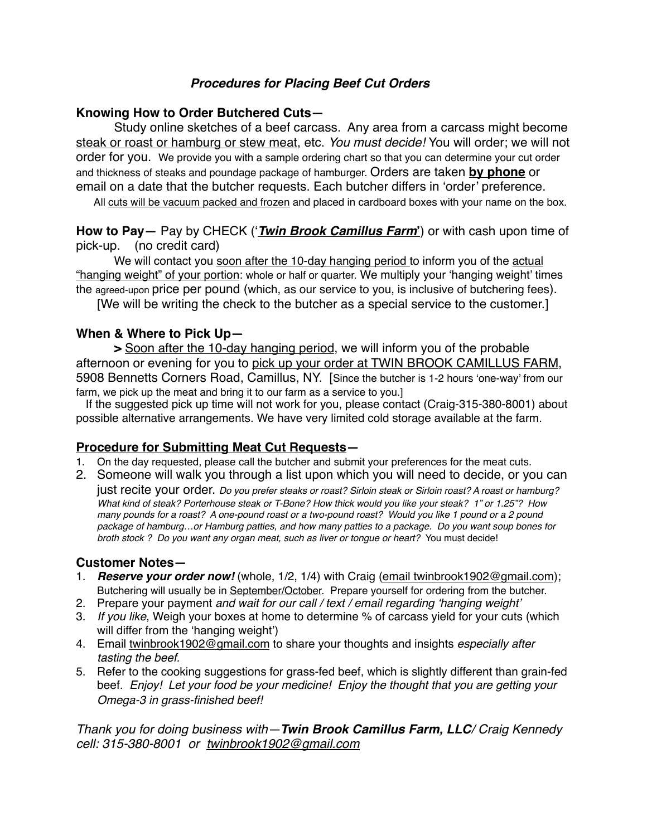# *Procedures for Placing Beef Cut Orders*

# **Knowing How to Order Butchered Cuts—**

Study online sketches of a beef carcass. Any area from a carcass might become steak or roast or hamburg or stew meat, etc. *You must decide!* You will order; we will not order for you. We provide you with a sample ordering chart so that you can determine your cut order and thickness of steaks and poundage package of hamburger. Orders are taken **by phone** or email on a date that the butcher requests. Each butcher differs in 'order' preference.

All cuts will be vacuum packed and frozen and placed in cardboard boxes with your name on the box.

**How to Pay—** Pay by CHECK ('*Twin Brook Camillus Farm***'**) or with cash upon time of pick-up. (no credit card)

We will contact you soon after the 10-day hanging period to inform you of the actual "hanging weight" of your portion: whole or half or quarter. We multiply your 'hanging weight' times the agreed-upon price per pound (which, as our service to you, is inclusive of butchering fees).

[We will be writing the check to the butcher as a special service to the customer.]

### **When & Where to Pick Up—**

**>** Soon after the 10-day hanging period, we will inform you of the probable afternoon or evening for you to pick up your order at TWIN BROOK CAMILLUS FARM, 5908 Bennetts Corners Road, Camillus, NY. [Since the butcher is 1-2 hours 'one-way' from our farm, we pick up the meat and bring it to our farm as a service to you.]

 If the suggested pick up time will not work for you, please contact (Craig-315-380-8001) about possible alternative arrangements. We have very limited cold storage available at the farm.

# **Procedure for Submitting Meat Cut Requests—**

- 1. On the day requested, please call the butcher and submit your preferences for the meat cuts.
- 2. Someone will walk you through a list upon which you will need to decide, or you can

just recite your order. *Do you prefer steaks or roast? Sirloin steak or Sirloin roast? A roast or hamburg? What kind of steak? Porterhouse steak or T-Bone? How thick would you like your steak? 1" or 1.25"? How many pounds for a roast? A one-pound roast or a two-pound roast? Would you like 1 pound or a 2 pound package of hamburg…or Hamburg patties, and how many patties to a package. Do you want soup bones for broth stock ? Do you want any organ meat, such as liver or tongue or heart?* You must decide!

### **Customer Notes—**

- 1. *Reserve your order now!* (whole, 1/2, 1/4) with Craig (email twinbrook1902@gmail.com); Butchering will usually be in September/October. Prepare yourself for ordering from the butcher.
- 2. Prepare your payment *and wait for our call / text / email regarding 'hanging weight'*
- 3. *If you like*, Weigh your boxes at home to determine % of carcass yield for your cuts (which will differ from the 'hanging weight')
- 4. Email [twinbrook1902@gmail.com](mailto:twinbrook1902@gmail.com) to share your thoughts and insights *especially after tasting the beef.*
- 5. Refer to the cooking suggestions for grass-fed beef, which is slightly different than grain-fed beef. *Enjoy! Let your food be your medicine! Enjoy the thought that you are getting your Omega-3 in grass-finished beef!*

*Thank you for doing business with—Twin Brook Camillus Farm, LLC/ Craig Kennedy cell: 315-380-8001 or [twinbrook1902@gmail.co](mailto:twinbrook1902@gmail.co)m*